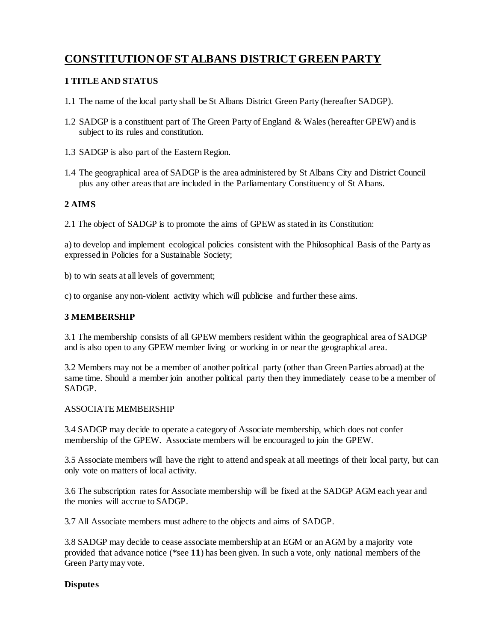# **CONSTITUTION OF ST ALBANS DISTRICT GREEN PARTY**

## **1 TITLE AND STATUS**

- 1.1 The name of the local party shall be St Albans District Green Party (hereafter SADGP).
- 1.2 SADGP is a constituent part of The Green Party of England & Wales (hereafter GPEW) and is subject to its rules and constitution.
- 1.3 SADGP is also part of the Eastern Region.
- 1.4 The geographical area of SADGP is the area administered by St Albans City and District Council plus any other areas that are included in the Parliamentary Constituency of St Albans.

## **2 AIMS**

2.1 The object of SADGP is to promote the aims of GPEW as stated in its Constitution:

a) to develop and implement ecological policies consistent with the Philosophical Basis of the Party as expressed in Policies for a Sustainable Society;

b) to win seats at all levels of government;

c) to organise any non-violent activity which will publicise and further these aims.

#### **3 MEMBERSHIP**

3.1 The membership consists of all GPEW members resident within the geographical area of SADGP and is also open to any GPEW member living or working in or near the geographical area.

3.2 Members may not be a member of another political party (other than Green Parties abroad) at the same time. Should a member join another political party then they immediately cease to be a member of SADGP.

#### ASSOCIATE MEMBERSHIP

3.4 SADGP may decide to operate a category of Associate membership, which does not confer membership of the GPEW. Associate members will be encouraged to join the GPEW.

3.5 Associate members will have the right to attend and speak at all meetings of their local party, but can only vote on matters of local activity.

3.6 The subscription rates for Associate membership will be fixed at the SADGP AGM each year and the monies will accrue to SADGP.

3.7 All Associate members must adhere to the objects and aims of SADGP.

3.8 SADGP may decide to cease associate membership at an EGM or an AGM by a majority vote provided that advance notice (\*see **11**) has been given. In such a vote, only national members of the Green Party may vote.

#### **Disputes**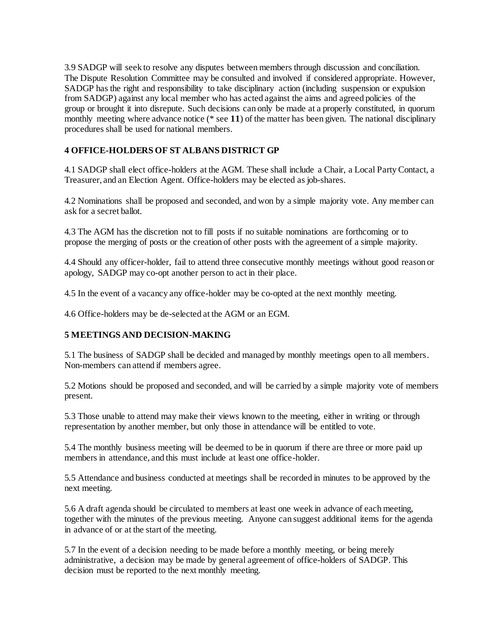3.9 SADGP will seek to resolve any disputes between members through discussion and conciliation. The Dispute Resolution Committee may be consulted and involved if considered appropriate. However, SADGP has the right and responsibility to take disciplinary action (including suspension or expulsion from SADGP) against any local member who has acted against the aims and agreed policies of the group or brought it into disrepute. Such decisions can only be made at a properly constituted, in quorum monthly meeting where advance notice (\* see **11**) of the matter has been given. The national disciplinary procedures shall be used for national members.

### **4 OFFICE-HOLDERS OF ST ALBANS DISTRICT GP**

4.1 SADGP shall elect office-holders at the AGM. These shall include a Chair, a Local Party Contact, a Treasurer, and an Election Agent. Office-holders may be elected as job-shares.

4.2 Nominations shall be proposed and seconded, and won by a simple majority vote. Any member can ask for a secret ballot.

4.3 The AGM has the discretion not to fill posts if no suitable nominations are forthcoming or to propose the merging of posts or the creation of other posts with the agreement of a simple majority.

4.4 Should any officer-holder, fail to attend three consecutive monthly meetings without good reason or apology, SADGP may co-opt another person to act in their place.

4.5 In the event of a vacancy any office-holder may be co-opted at the next monthly meeting.

4.6 Office-holders may be de-selected at the AGM or an EGM.

#### **5 MEETINGS AND DECISION-MAKING**

5.1 The business of SADGP shall be decided and managed by monthly meetings open to all members. Non-members can attend if members agree.

5.2 Motions should be proposed and seconded, and will be carried by a simple majority vote of members present.

5.3 Those unable to attend may make their views known to the meeting, either in writing or through representation by another member, but only those in attendance will be entitled to vote.

5.4 The monthly business meeting will be deemed to be in quorum if there are three or more paid up members in attendance, and this must include at least one office-holder.

5.5 Attendance and business conducted at meetings shall be recorded in minutes to be approved by the next meeting.

5.6 A draft agenda should be circulated to members at least one week in advance of each meeting, together with the minutes of the previous meeting. Anyone can suggest additional items for the agenda in advance of or at the start of the meeting.

5.7 In the event of a decision needing to be made before a monthly meeting, or being merely administrative, a decision may be made by general agreement of office-holders of SADGP. This decision must be reported to the next monthly meeting.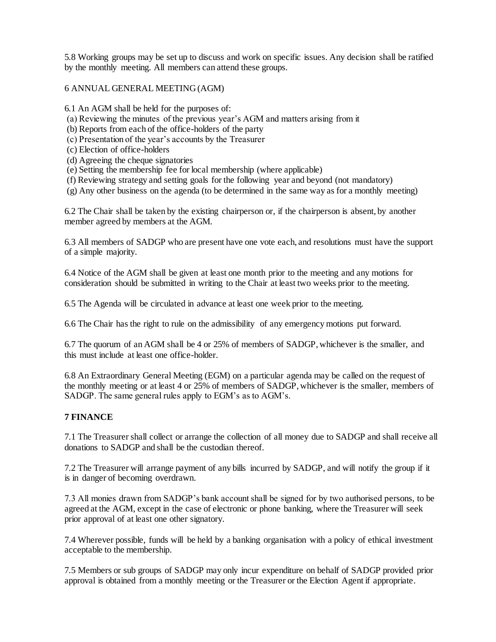5.8 Working groups may be set up to discuss and work on specific issues. Any decision shall be ratified by the monthly meeting. All members can attend these groups.

6 ANNUAL GENERAL MEETING (AGM)

6.1 An AGM shall be held for the purposes of:

- (a) Reviewing the minutes of the previous year's AGM and matters arising from it
- (b) Reports from each of the office-holders of the party
- (c) Presentation of the year's accounts by the Treasurer
- (c) Election of office-holders
- (d) Agreeing the cheque signatories
- (e) Setting the membership fee for local membership (where applicable)
- (f) Reviewing strategy and setting goals for the following year and beyond (not mandatory)
- (g) Any other business on the agenda (to be determined in the same way as for a monthly meeting)

6.2 The Chair shall be taken by the existing chairperson or, if the chairperson is absent, by another member agreed by members at the AGM.

6.3 All members of SADGP who are present have one vote each, and resolutions must have the support of a simple majority.

6.4 Notice of the AGM shall be given at least one month prior to the meeting and any motions for consideration should be submitted in writing to the Chair at least two weeks prior to the meeting.

6.5 The Agenda will be circulated in advance at least one week prior to the meeting.

6.6 The Chair has the right to rule on the admissibility of any emergency motions put forward.

6.7 The quorum of an AGM shall be 4 or 25% of members of SADGP, whichever is the smaller, and this must include at least one office-holder.

6.8 An Extraordinary General Meeting (EGM) on a particular agenda may be called on the request of the monthly meeting or at least 4 or 25% of members of SADGP, whichever is the smaller, members of SADGP. The same general rules apply to EGM's as to AGM's.

#### **7 FINANCE**

7.1 The Treasurer shall collect or arrange the collection of all money due to SADGP and shall receive all donations to SADGP and shall be the custodian thereof.

7.2 The Treasurer will arrange payment of any bills incurred by SADGP, and will notify the group if it is in danger of becoming overdrawn.

7.3 All monies drawn from SADGP's bank account shall be signed for by two authorised persons, to be agreed at the AGM, except in the case of electronic or phone banking, where the Treasurer will seek prior approval of at least one other signatory.

7.4 Wherever possible, funds will be held by a banking organisation with a policy of ethical investment acceptable to the membership.

7.5 Members or sub groups of SADGP may only incur expenditure on behalf of SADGP provided prior approval is obtained from a monthly meeting or the Treasurer or the Election Agent if appropriate.